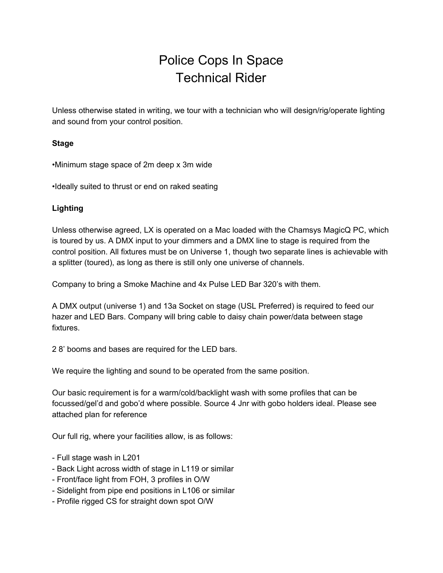# Police Cops In Space Technical Rider

Unless otherwise stated in writing, we tour with a technician who will design/rig/operate lighting and sound from your control position.

### **Stage**

•Minimum stage space of 2m deep x 3m wide

•Ideally suited to thrust or end on raked seating

### **Lighting**

Unless otherwise agreed, LX is operated on a Mac loaded with the Chamsys MagicQ PC, which is toured by us. A DMX input to your dimmers and a DMX line to stage is required from the control position. All fixtures must be on Universe 1, though two separate lines is achievable with a splitter (toured), as long as there is still only one universe of channels.

Company to bring a Smoke Machine and 4x Pulse LED Bar 320's with them.

A DMX output (universe 1) and 13a Socket on stage (USL Preferred) is required to feed our hazer and LED Bars. Company will bring cable to daisy chain power/data between stage fixtures.

2 8' booms and bases are required for the LED bars.

We require the lighting and sound to be operated from the same position.

Our basic requirement is for a warm/cold/backlight wash with some profiles that can be focussed/gel'd and gobo'd where possible. Source 4 Jnr with gobo holders ideal. Please see attached plan for reference

Our full rig, where your facilities allow, is as follows:

- Full stage wash in L201
- Back Light across width of stage in L119 or similar
- Front/face light from FOH, 3 profiles in O/W
- Sidelight from pipe end positions in L106 or similar
- Profile rigged CS for straight down spot O/W